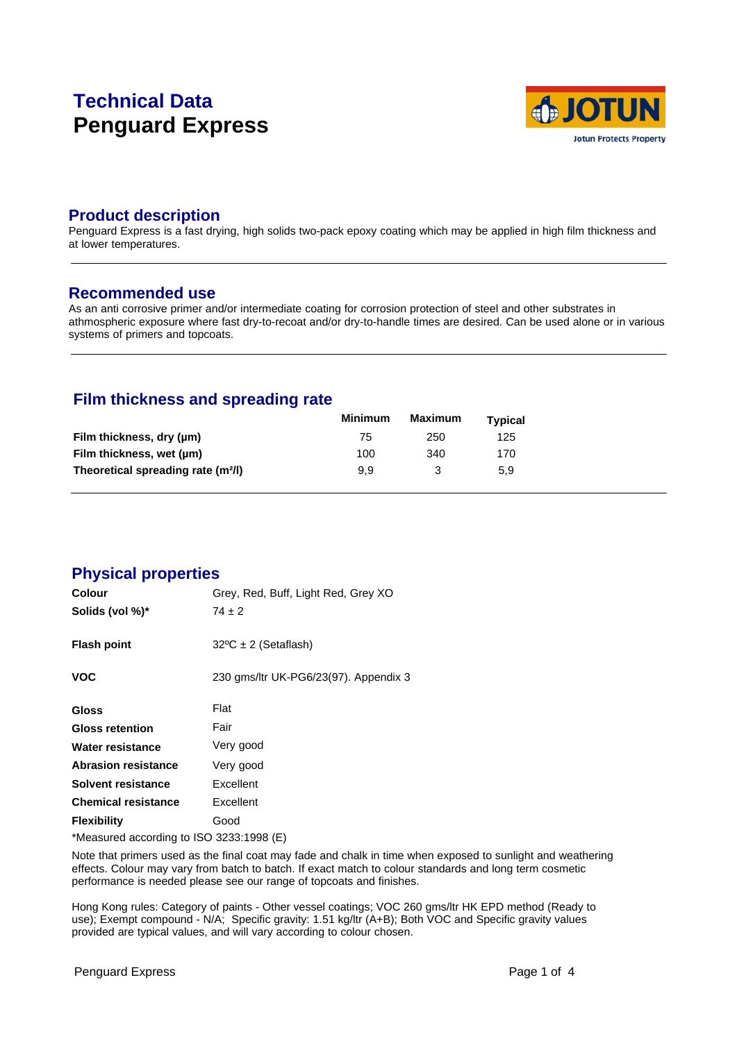# **Technical Data Penguard Express**



### **Product description**

Penguard Express is a fast drying, high solids two-pack epoxy coating which may be applied in high film thickness and at lower temperatures.

#### **Recommended use**

As an anti corrosive primer and/or intermediate coating for corrosion protection of steel and other substrates in athmospheric exposure where fast dry-to-recoat and/or dry-to-handle times are desired. Can be used alone or in various systems of primers and topcoats.

# **Film thickness and spreading rate**

|                                                | <b>Minimum</b> | Maximum | <b>Typical</b> |  |
|------------------------------------------------|----------------|---------|----------------|--|
| Film thickness, dry (µm)                       | 75             | 250     | 125            |  |
| Film thickness, wet (µm)                       | 100            | 340     | 170            |  |
| Theoretical spreading rate (m <sup>2</sup> /l) | 9.9            |         | 5.9            |  |

### **Physical properties**

| Colour                                   | Grey, Red, Buff, Light Red, Grey XO   |  |
|------------------------------------------|---------------------------------------|--|
| Solids (vol %)*                          | $74 \pm 2$                            |  |
| <b>Flash point</b>                       | $32^{\circ}C \pm 2$ (Setaflash)       |  |
| <b>VOC</b>                               | 230 gms/ltr UK-PG6/23(97). Appendix 3 |  |
| Gloss                                    | Flat                                  |  |
| <b>Gloss retention</b>                   | Fair                                  |  |
| Water resistance                         | Very good                             |  |
| <b>Abrasion resistance</b>               | Very good                             |  |
| Solvent resistance                       | Excellent                             |  |
| <b>Chemical resistance</b>               | Excellent                             |  |
| <b>Flexibility</b>                       | Good                                  |  |
| *Measured according to ISO 3233:1998 (E) |                                       |  |

Note that primers used as the final coat may fade and chalk in time when exposed to sunlight and weathering effects. Colour may vary from batch to batch. If exact match to colour standards and long term cosmetic performance is needed please see our range of topcoats and finishes.

Hong Kong rules: Category of paints - Other vessel coatings; VOC 260 gms/ltr HK EPD method (Ready to use); Exempt compound - N/A; Specific gravity: 1.51 kg/ltr (A+B); Both VOC and Specific gravity values provided are typical values, and will vary according to colour chosen.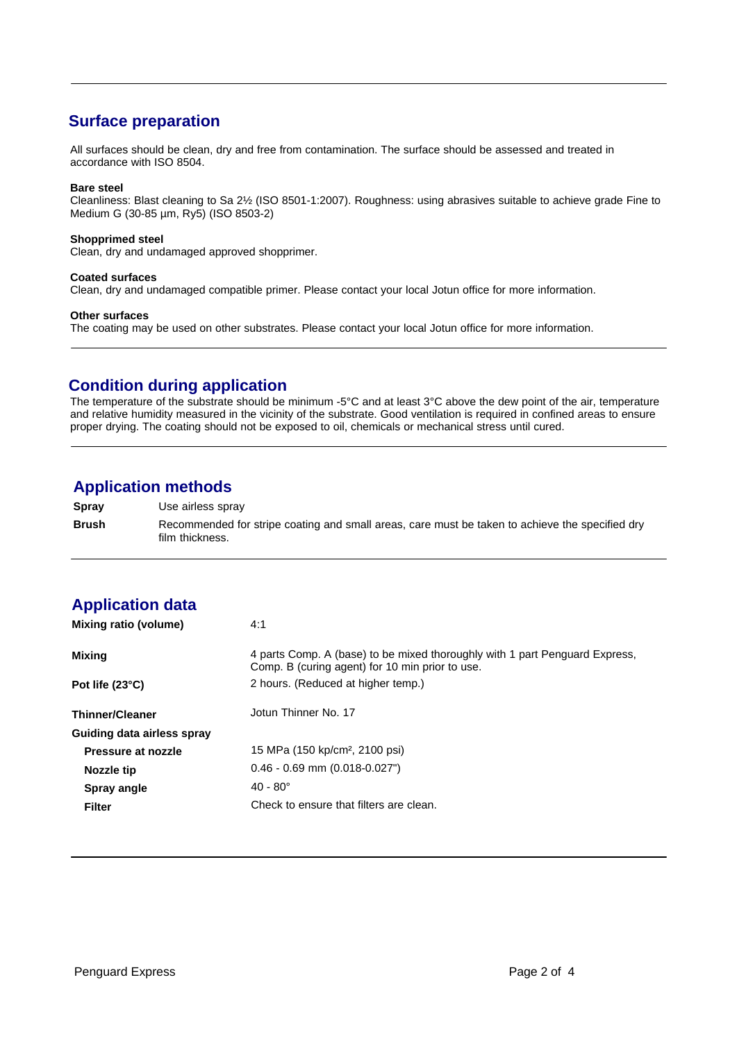# **Surface preparation**

All surfaces should be clean, dry and free from contamination. The surface should be assessed and treated in accordance with ISO 8504.

#### **Bare steel**

Cleanliness: Blast cleaning to Sa 2½ (ISO 8501-1:2007). Roughness: using abrasives suitable to achieve grade Fine to Medium G (30-85 µm, Ry5) (ISO 8503-2)

#### **Shopprimed steel**

Clean, dry and undamaged approved shopprimer.

#### **Coated surfaces**

Clean, dry and undamaged compatible primer. Please contact your local Jotun office for more information.

#### **Other surfaces**

The coating may be used on other substrates. Please contact your local Jotun office for more information.

### **Condition during application**

The temperature of the substrate should be minimum -5°C and at least 3°C above the dew point of the air, temperature and relative humidity measured in the vicinity of the substrate. Good ventilation is required in confined areas to ensure proper drying. The coating should not be exposed to oil, chemicals or mechanical stress until cured.

### **Application methods**

**Spray** Use airless spray **Brush** Recommended for stripe coating and small areas, care must be taken to achieve the specified dry film thickness.

# **Application data**

| Mixing ratio (volume)      | 4:1                                                                                                                            |
|----------------------------|--------------------------------------------------------------------------------------------------------------------------------|
| Mixing                     | 4 parts Comp. A (base) to be mixed thoroughly with 1 part Penguard Express,<br>Comp. B (curing agent) for 10 min prior to use. |
| Pot life (23°C)            | 2 hours. (Reduced at higher temp.)                                                                                             |
| <b>Thinner/Cleaner</b>     | Jotun Thinner No. 17                                                                                                           |
| Guiding data airless spray |                                                                                                                                |
| Pressure at nozzle         | 15 MPa (150 kp/cm <sup>2</sup> , 2100 psi)                                                                                     |
| Nozzle tip                 | $0.46 - 0.69$ mm $(0.018 - 0.027")$                                                                                            |
| Spray angle                | $40 - 80^{\circ}$                                                                                                              |
| <b>Filter</b>              | Check to ensure that filters are clean.                                                                                        |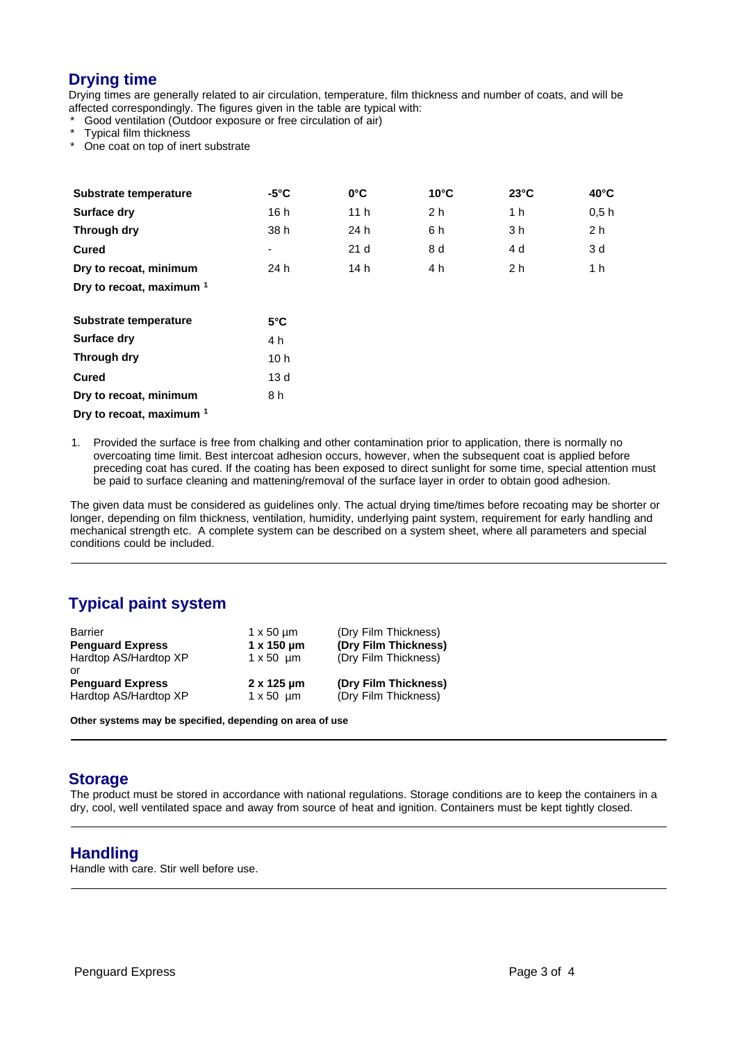# **Drying time**

Drying times are generally related to air circulation, temperature, film thickness and number of coats, and will be affected correspondingly. The figures given in the table are typical with:

Good ventilation (Outdoor exposure or free circulation of air)

Typical film thickness

One coat on top of inert substrate

| Substrate temperature               | $-5^{\circ}$ C  | $0^{\circ}$ C   | $10^{\circ}$ C | $23^{\circ}$ C | $40^{\circ}$ C |  |
|-------------------------------------|-----------------|-----------------|----------------|----------------|----------------|--|
| <b>Surface dry</b>                  | 16h             | 11 <sub>h</sub> | 2 <sub>h</sub> | 1 h            | 0.5h           |  |
| Through dry                         | 38 h            | 24 h            | 6 h            | 3 h            | 2 <sub>h</sub> |  |
| <b>Cured</b>                        | ۰               | 21 <sub>d</sub> | 8 d            | 4 d            | 3 d            |  |
| Dry to recoat, minimum              | 24 h            | 14 h            | 4 h            | 2 <sub>h</sub> | 1 h            |  |
| Dry to recoat, maximum <sup>1</sup> |                 |                 |                |                |                |  |
| Substrate temperature               | $5^{\circ}$ C   |                 |                |                |                |  |
| <b>Surface dry</b>                  | 4 h             |                 |                |                |                |  |
| Through dry                         | 10 <sub>h</sub> |                 |                |                |                |  |
| <b>Cured</b>                        | 13 <sub>d</sub> |                 |                |                |                |  |
| Dry to recoat, minimum              | 8 h             |                 |                |                |                |  |

**Dry to recoat, maximum <sup>1</sup>**

1. Provided the surface is free from chalking and other contamination prior to application, there is normally no overcoating time limit. Best intercoat adhesion occurs, however, when the subsequent coat is applied before preceding coat has cured. If the coating has been exposed to direct sunlight for some time, special attention must be paid to surface cleaning and mattening/removal of the surface layer in order to obtain good adhesion.

The given data must be considered as guidelines only. The actual drying time/times before recoating may be shorter or longer, depending on film thickness, ventilation, humidity, underlying paint system, requirement for early handling and mechanical strength etc. A complete system can be described on a system sheet, where all parameters and special conditions could be included.

# **Typical paint system**

| Barrier                 | $1 \times 50 \mu m$ | (Dry Film Thickness) |
|-------------------------|---------------------|----------------------|
| <b>Penguard Express</b> | $1 \times 150$ um   | (Dry Film Thickness) |
| Hardtop AS/Hardtop XP   | $1 \times 50$ um    | (Dry Film Thickness) |
| .nr                     |                     |                      |
| <b>Penguard Express</b> | $2 \times 125$ um   | (Dry Film Thickness) |
| Hardtop AS/Hardtop XP   | $1 \times 50$ um    | (Dry Film Thickness) |

**Other systems may be specified, depending on area of use**

#### **Storage**

The product must be stored in accordance with national regulations. Storage conditions are to keep the containers in a dry, cool, well ventilated space and away from source of heat and ignition. Containers must be kept tightly closed.

#### **Handling**

Handle with care. Stir well before use.